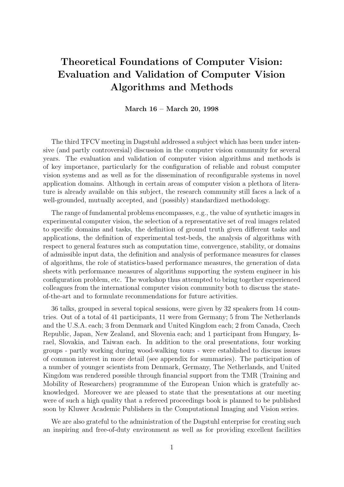# Theoretical Foundations of Computer Vision: Evaluation and Validation of Computer Vision Algorithms and Methods

March 16 – March 20, 1998

The third TFCV meeting in Dagstuhl addressed a subject which has been under intensive (and partly controversial) discussion in the computer vision community for several years. The evaluation and validation of computer vision algorithms and methods is of key importance, particularly for the configuration of reliable and robust computer vision systems and as well as for the dissemination of reconfigurable systems in novel application domains. Although in certain areas of computer vision a plethora of literature is already available on this subject, the research community still faces a lack of a well-grounded, mutually accepted, and (possibly) standardized methodology.

The range of fundamental problems encompasses, e.g., the value of synthetic images in experimental computer vision, the selection of a representative set of real images related to specific domains and tasks, the definition of ground truth given different tasks and applications, the definition of experimental test-beds, the analysis of algorithms with respect to general features such as computation time, convergence, stability, or domains of admissible input data, the definition and analysis of performance measures for classes of algorithms, the role of statistics-based performance measures, the generation of data sheets with performance measures of algorithms supporting the system engineer in his configuration problem, etc. The workshop thus attempted to bring together experienced colleagues from the international computer vision community both to discuss the stateof-the-art and to formulate recommendations for future activities.

36 talks, grouped in several topical sessions, were given by 32 speakers from 14 countries. Out of a total of 41 participants, 11 were from Germany; 5 from The Netherlands and the U.S.A. each; 3 from Denmark and United Kingdom each; 2 from Canada, Czech Republic, Japan, New Zealand, and Slovenia each; and 1 participant from Hungary, Israel, Slovakia, and Taiwan each. In addition to the oral presentations, four working groups - partly working during wood-walking tours - were established to discuss issues of common interest in more detail (see appendix for summaries). The participation of a number of younger scientists from Denmark, Germany, The Netherlands, and United Kingdom was rendered possible through financial support from the TMR (Training and Mobility of Researchers) programmme of the European Union which is gratefully acknowledged. Moreover we are pleased to state that the presentations at our meeting were of such a high quality that a refereed proceedings book is planned to be published soon by Kluwer Academic Publishers in the Computational Imaging and Vision series.

We are also grateful to the administration of the Dagstuhl enterprise for creating such an inspiring and free-of-duty environment as well as for providing excellent facilities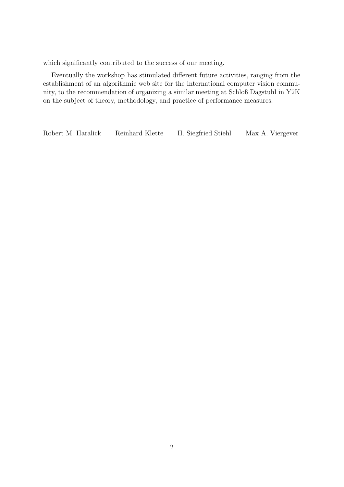which significantly contributed to the success of our meeting.

Eventually the workshop has stimulated different future activities, ranging from the establishment of an algorithmic web site for the international computer vision community, to the recommendation of organizing a similar meeting at Schloß Dagstuhl in Y2K on the subject of theory, methodology, and practice of performance measures.

Robert M. Haralick Reinhard Klette H. Siegfried Stiehl Max A. Viergever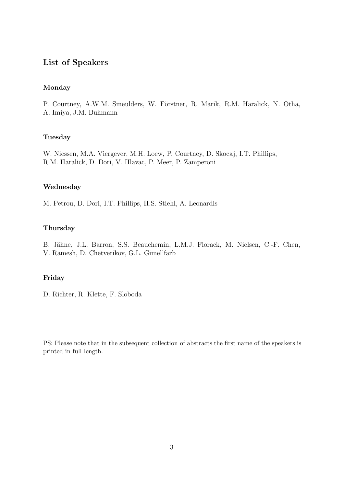### List of Speakers

#### Monday

P. Courtney, A.W.M. Smeulders, W. Förstner, R. Marik, R.M. Haralick, N. Otha, A. Imiya, J.M. Buhmann

#### Tuesday

W. Niessen, M.A. Viergever, M.H. Loew, P. Courtney, D. Skocaj, I.T. Phillips, R.M. Haralick, D. Dori, V. Hlavac, P. Meer, P. Zamperoni

#### Wednesday

M. Petrou, D. Dori, I.T. Phillips, H.S. Stiehl, A. Leonardis

#### Thursday

B. Jähne, J.L. Barron, S.S. Beauchemin, L.M.J. Florack, M. Nielsen, C.-F. Chen,

V. Ramesh, D. Chetverikov, G.L. Gimel'farb

#### Friday

D. Richter, R. Klette, F. Sloboda

PS: Please note that in the subsequent collection of abstracts the first name of the speakers is printed in full length.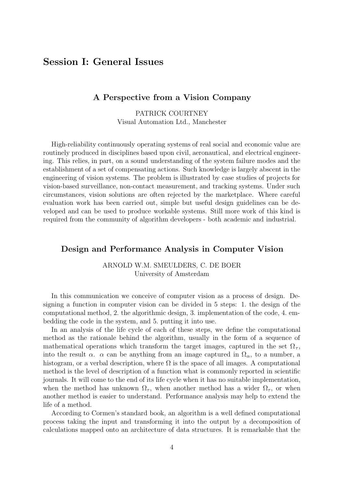## Session I: General Issues

#### A Perspective from a Vision Company

PATRICK COURTNEY Visual Automation Ltd., Manchester

High-reliability continuously operating systems of real social and economic value are routinely produced in disciplines based upon civil, aeronautical, and electrical engineering. This relies, in part, on a sound understanding of the system failure modes and the establishment of a set of compensating actions. Such knowledge is largely abscent in the engineering of vision systems. The problem is illustrated by case studies of projects for vision-based surveillance, non-contact measurement, and tracking systems. Under such circumstances, vision solutions are often rejected by the marketplace. Where careful evaluation work has been carried out, simple but useful design guidelines can be developed and can be used to produce workable systems. Still more work of this kind is required from the community of algorithm developers - both academic and industrial.

#### Design and Performance Analysis in Computer Vision

ARNOLD W.M. SMEULDERS, C. DE BOER University of Amsterdam

In this communication we conceive of computer vision as a process of design. Designing a function in computer vision can be divided in 5 steps: 1. the design of the computational method, 2. the algorithmic design, 3. implementation of the code, 4. embedding the code in the system, and 5. putting it into use.

In an analysis of the life cycle of each of these steps, we define the computational method as the rationale behind the algorithm, usually in the form of a sequence of mathematical operations which transform the target images, captured in the set  $\Omega_{\tau}$ , into the result  $\alpha$ .  $\alpha$  can be anything from an image captured in  $\Omega_{\alpha}$ , to a number, a histogram, or a verbal description, where  $\Omega$  is the space of all images. A computational method is the level of description of a function what is commonly reported in scientific journals. It will come to the end of its life cycle when it has no suitable implementation, when the method has unknown  $\Omega_{\tau}$ , when another method has a wider  $\Omega_{\tau}$ , or when another method is easier to understand. Performance analysis may help to extend the life of a method.

According to Cormen's standard book, an algorithm is a well defined computational process taking the input and transforming it into the output by a decomposition of calculations mapped onto an architecture of data structures. It is remarkable that the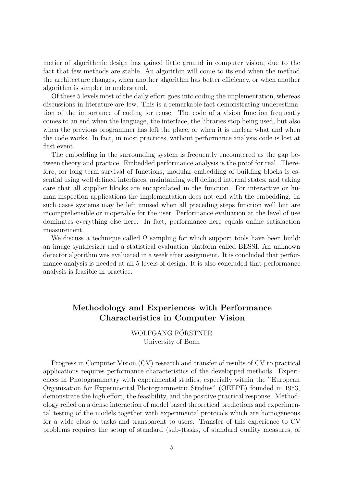metier of algorithmic design has gained little ground in computer vision, due to the fact that few methods are stable. An algorithm will come to its end when the method the architecture changes, when another algorithm has better efficiency, or when another algorithm is simpler to understand.

Of these 5 levels most of the daily effort goes into coding the implementation, whereas discussions in literature are few. This is a remarkable fact demonstrating underestimation of the importance of coding for reuse. The code of a vision function frequently comes to an end when the language, the interface, the libraries stop being used, but also when the previous programmer has left the place, or when it is unclear what and when the code works. In fact, in most practices, without performance analysis code is lost at first event.

The embedding in the surrounding system is frequently encountered as the gap between theory and practice. Embedded performance analysis is the proof for real. Therefore, for long term survival of functions, modular embedding of building blocks is essential using well defined interfaces, maintaining well defined internal states, and taking care that all supplier blocks are encapsulated in the function. For interactive or human inspection applications the implementation does not end with the embedding. In such cases systems may be left unused when all preceding steps function well but are incomprehensible or inoperable for the user. Performance evaluation at the level of use dominates everything else here. In fact, performance here equals online satisfaction measurement.

We discuss a technique called  $\Omega$  sampling for which support tools have been build: an image synthesizer and a statistical evaluation platform called BESSI. An unknown detector algorithm was evaluated in a week after assignment. It is concluded that performance analysis is needed at all 5 levels of design. It is also concluded that performance analysis is feasible in practice.

## Methodology and Experiences with Performance Characteristics in Computer Vision

WOLFGANG FÖRSTNER University of Bonn

Progress in Computer Vision (CV) research and transfer of results of CV to practical applications requires performance characteristics of the developped methods. Experiences in Photogrammetry with experimental studies, especially within the "European Organisation for Experimental Photogrammetric Studies" (OEEPE) founded in 1953, demonstrate the high effort, the feasibility, and the positive practical response. Methodology relied on a dense interaction of model based theoretical predictions and experimental testing of the models together with experimental protocols which are homogeneous for a wide class of tasks and transparent to users. Transfer of this experience to CV problems requires the setup of standard (sub-)tasks, of standard quality measures, of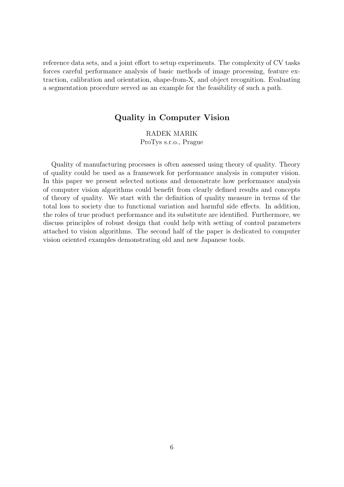reference data sets, and a joint effort to setup experiments. The complexity of CV tasks forces careful performance analysis of basic methods of image processing, feature extraction, calibration and orientation, shape-from-X, and object recognition. Evaluating a segmentation procedure served as an example for the feasibility of such a path.

#### Quality in Computer Vision

RADEK MARIK ProTys s.r.o., Prague

Quality of manufacturing processes is often assessed using theory of quality. Theory of quality could be used as a framework for performance analysis in computer vision. In this paper we present selected notions and demonstrate how performance analysis of computer vision algorithms could benefit from clearly defined results and concepts of theory of quality. We start with the definition of quality measure in terms of the total loss to society due to functional variation and harmful side effects. In addition, the roles of true product performance and its substitute are identified. Furthermore, we discuss principles of robust design that could help with setting of control parameters attached to vision algorithms. The second half of the paper is dedicated to computer vision oriented examples demonstrating old and new Japanese tools.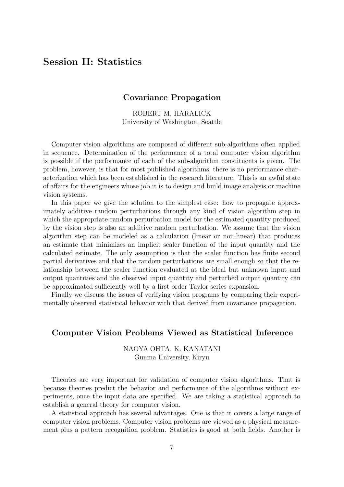## Session II: Statistics

#### Covariance Propagation

ROBERT M. HARALICK University of Washington, Seattle

Computer vision algorithms are composed of different sub-algorithms often applied in sequence. Determination of the performance of a total computer vision algorithm is possible if the performance of each of the sub-algorithm constituents is given. The problem, however, is that for most published algorithms, there is no performance characterization which has been established in the research literature. This is an awful state of affairs for the engineers whose job it is to design and build image analysis or machine vision systems.

In this paper we give the solution to the simplest case: how to propagate approximately additive random perturbations through any kind of vision algorithm step in which the appropriate random perturbation model for the estimated quantity produced by the vision step is also an additive random perturbation. We assume that the vision algorithm step can be modeled as a calculation (linear or non-linear) that produces an estimate that minimizes an implicit scaler function of the input quantity and the calculated estimate. The only assumption is that the scaler function has finite second partial derivatives and that the random perturbations are small enough so that the relationship between the scaler function evaluated at the ideal but unknown input and output quantities and the observed input quantity and perturbed output quantity can be approximated sufficiently well by a first order Taylor series expansion.

Finally we discuss the issues of verifying vision programs by comparing their experimentally observed statistical behavior with that derived from covariance propagation.

#### Computer Vision Problems Viewed as Statistical Inference

#### NAOYA OHTA, K. KANATANI Gunma University, Kiryu

Theories are very important for validation of computer vision algorithms. That is because theories predict the behavior and performance of the algorithms without experiments, once the input data are specified. We are taking a statistical approach to establish a general theory for computer vision.

A statistical approach has several advantages. One is that it covers a large range of computer vision problems. Computer vision problems are viewed as a physical measurement plus a pattern recognition problem. Statistics is good at both fields. Another is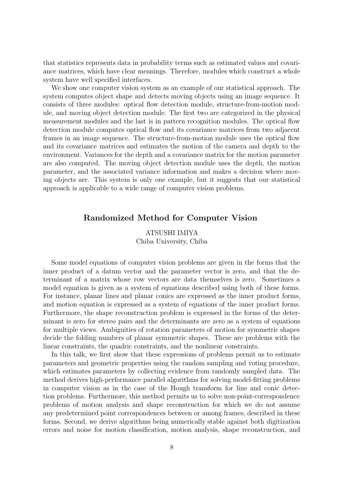that statistics represents data in probability terms such as estimated values and covariance matrices, which have clear meanings. Therefore, modules which construct a whole system have well specified interfaces.

We show one computer vision system as an example of our statistical approach. The system computes object shape and detects moving objects using an image sequence. It consists of three modules: optical flow detection module, structure-from-motion module, and moving object detection module. The first two are categorized in the physical measurement modules and the last is in pattern recognition modules. The optical flow detection module computes optical flow and its covariance matrices from two adjacent frames in an image sequence. The structure-from-motion module uses the optical flow and its covariance matrices and estimates the motion of the camera and depth to the environment. Variances for the depth and a covariance matrix for the motion parameter are also computed. The moving object detection module uses the depth, the motion parameter, and the associated variance information and makes a decision where moving objects are. This system is only one example, but it suggests that our statistical approach is applicable to a wide range of computer vision problems.

#### Randomized Method for Computer Vision

ATSUSHI IMIYA Chiba University, Chiba

Some model equations of computer vision problems are given in the forms that the inner product of a datum vector and the parameter vector is zero, and that the determinant of a matrix whose row vectors are data themselves is zero. Sometimes a model equation is given as a system of equations described using both of these forms. For instance, planar lines and planar conics are expressed as the inner product forms, and motion equation is expressed as a system of equations of the inner product forms. Furthermore, the shape reconstruction problem is expressed in the forms of the determinant is zero for stereo pairs and the determinants are zero as a system of equations for multiple views. Ambiguities of rotation parameters of motion for symmetric shapes decide the folding numbers of planar symmetric shapes. These are problems with the linear constraints, the quadric constraints, and the nonlinear constraints.

In this talk, we first show that these expressions of problems permit us to estimate parameters and geometric properties using the random sampling and voting procedure, which estimates parameters by collecting evidence from randomly sampled data. The method derives high-performance parallel algorithms for solving model-fitting problems in computer vision as in the case of the Hough transform for line and conic detection problems. Furthermore, this method permits us to solve non-point-correspondence problems of motion analysis and shape reconstruction for which we do not assume any predetermined point correspondences between or among frames, described in these forms. Second, we derive algorithms being numerically stable against both digitization errors and noise for motion classification, motion analysis, shape reconstruction, and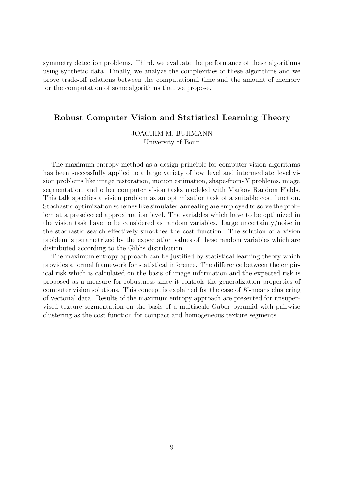symmetry detection problems. Third, we evaluate the performance of these algorithms using synthetic data. Finally, we analyze the complexities of these algorithms and we prove trade-off relations between the computational time and the amount of memory for the computation of some algorithms that we propose.

#### Robust Computer Vision and Statistical Learning Theory

JOACHIM M. BUHMANN University of Bonn

The maximum entropy method as a design principle for computer vision algorithms has been successfully applied to a large variety of low–level and intermediate–level vision problems like image restoration, motion estimation, shape-from-X problems, image segmentation, and other computer vision tasks modeled with Markov Random Fields. This talk specifies a vision problem as an optimization task of a suitable cost function. Stochastic optimization schemes like simulated annealing are employed to solve the problem at a preselected approximation level. The variables which have to be optimized in the vision task have to be considered as random variables. Large uncertainty/noise in the stochastic search effectively smoothes the cost function. The solution of a vision problem is parametrized by the expectation values of these random variables which are distributed according to the Gibbs distribution.

The maximum entropy approach can be justified by statistical learning theory which provides a formal framework for statistical inference. The difference between the empirical risk which is calculated on the basis of image information and the expected risk is proposed as a measure for robustness since it controls the generalization properties of computer vision solutions. This concept is explained for the case of K-means clustering of vectorial data. Results of the maximum entropy approach are presented for unsupervised texture segmentation on the basis of a multiscale Gabor pyramid with pairwise clustering as the cost function for compact and homogeneous texture segments.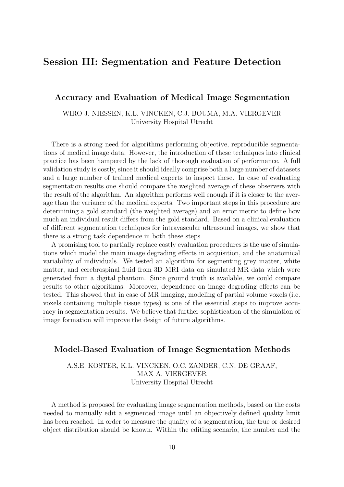## Session III: Segmentation and Feature Detection

#### Accuracy and Evaluation of Medical Image Segmentation

WIRO J. NIESSEN, K.L. VINCKEN, C.J. BOUMA, M.A. VIERGEVER University Hospital Utrecht

There is a strong need for algorithms performing objective, reproducible segmentations of medical image data. However, the introduction of these techniques into clinical practice has been hampered by the lack of thorough evaluation of performance. A full validation study is costly, since it should ideally comprise both a large number of datasets and a large number of trained medical experts to inspect these. In case of evaluating segmentation results one should compare the weighted average of these observers with the result of the algorithm. An algorithm performs well enough if it is closer to the average than the variance of the medical experts. Two important steps in this procedure are determining a gold standard (the weighted average) and an error metric to define how much an individual result differs from the gold standard. Based on a clinical evaluation of different segmentation techniques for intravascular ultrasound images, we show that there is a strong task dependence in both these steps.

A promising tool to partially replace costly evaluation procedures is the use of simulations which model the main image degrading effects in acquisition, and the anatomical variability of individuals. We tested an algorithm for segmenting grey matter, white matter, and cerebrospinal fluid from 3D MRI data on simulated MR data which were generated from a digital phantom. Since ground truth is available, we could compare results to other algorithms. Moreover, dependence on image degrading effects can be tested. This showed that in case of MR imaging, modeling of partial volume voxels (i.e. voxels containing multiple tissue types) is one of the essential steps to improve accuracy in segmentation results. We believe that further sophistication of the simulation of image formation will improve the design of future algorithms.

#### Model-Based Evaluation of Image Segmentation Methods

A.S.E. KOSTER, K.L. VINCKEN, O.C. ZANDER, C.N. DE GRAAF, MAX A. VIERGEVER University Hospital Utrecht

A method is proposed for evaluating image segmentation methods, based on the costs needed to manually edit a segmented image until an objectively defined quality limit has been reached. In order to measure the quality of a segmentation, the true or desired object distribution should be known. Within the editing scenario, the number and the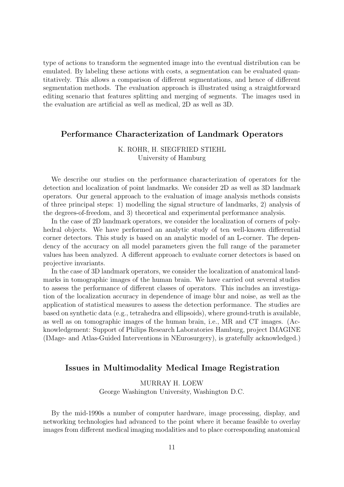type of actions to transform the segmented image into the eventual distribution can be emulated. By labeling these actions with costs, a segmentation can be evaluated quantitatively. This allows a comparison of different segmentations, and hence of different segmentation methods. The evaluation approach is illustrated using a straightforward editing scenario that features splitting and merging of segments. The images used in the evaluation are artificial as well as medical, 2D as well as 3D.

### Performance Characterization of Landmark Operators

#### K. ROHR, H. SIEGFRIED STIEHL University of Hamburg

We describe our studies on the performance characterization of operators for the detection and localization of point landmarks. We consider 2D as well as 3D landmark operators. Our general approach to the evaluation of image analysis methods consists of three principal steps: 1) modelling the signal structure of landmarks, 2) analysis of the degrees-of-freedom, and 3) theoretical and experimental performance analysis.

In the case of 2D landmark operators, we consider the localization of corners of polyhedral objects. We have performed an analytic study of ten well-known differential corner detectors. This study is based on an analytic model of an L-corner. The dependency of the accuracy on all model parameters given the full range of the parameter values has been analyzed. A different approach to evaluate corner detectors is based on projective invariants.

In the case of 3D landmark operators, we consider the localization of anatomical landmarks in tomographic images of the human brain. We have carried out several studies to assess the performance of different classes of operators. This includes an investigation of the localization accuracy in dependence of image blur and noise, as well as the application of statistical measures to assess the detection performance. The studies are based on synthetic data (e.g., tetrahedra and ellipsoids), where ground-truth is available, as well as on tomographic images of the human brain, i.e., MR and CT images. (Acknowledgement: Support of Philips Research Laboratories Hamburg, project IMAGINE (IMage- and Atlas-Guided Interventions in NEurosurgery), is gratefully acknowledged.)

#### Issues in Multimodality Medical Image Registration

#### MURRAY H. LOEW

George Washington University, Washington D.C.

By the mid-1990s a number of computer hardware, image processing, display, and networking technologies had advanced to the point where it became feasible to overlay images from different medical imaging modalities and to place corresponding anatomical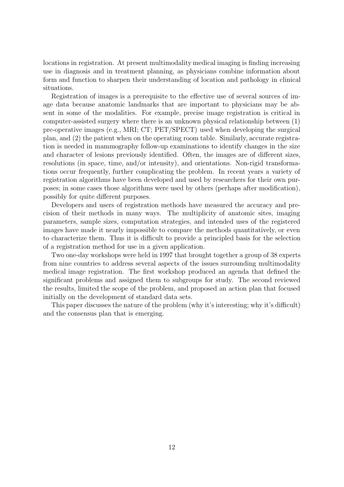locations in registration. At present multimodality medical imaging is finding increasing use in diagnosis and in treatment planning, as physicians combine information about form and function to sharpen their understanding of location and pathology in clinical situations.

Registration of images is a prerequisite to the effective use of several sources of image data because anatomic landmarks that are important to physicians may be absent in some of the modalities. For example, precise image registration is critical in computer-assisted surgery where there is an unknown physical relationship between (1) pre-operative images (e.g., MRI; CT; PET/SPECT) used when developing the surgical plan, and (2) the patient when on the operating room table. Similarly, accurate registration is needed in mammography follow-up examinations to identify changes in the size and character of lesions previously identified. Often, the images are of different sizes, resolutions (in space, time, and/or intensity), and orientations. Non-rigid transformations occur frequently, further complicating the problem. In recent years a variety of registration algorithms have been developed and used by researchers for their own purposes; in some cases those algorithms were used by others (perhaps after modification), possibly for quite different purposes.

Developers and users of registration methods have measured the accuracy and precision of their methods in many ways. The multiplicity of anatomic sites, imaging parameters, sample sizes, computation strategies, and intended uses of the registered images have made it nearly impossible to compare the methods quantitatively, or even to characterize them. Thus it is difficult to provide a principled basis for the selection of a registration method for use in a given application.

Two one-day workshops were held in 1997 that brought together a group of 38 experts from nine countries to address several aspects of the issues surrounding multimodality medical image registration. The first workshop produced an agenda that defined the significant problems and assigned them to subgroups for study. The second reviewed the results, limited the scope of the problem, and proposed an action plan that focused initially on the development of standard data sets.

This paper discusses the nature of the problem (why it's interesting; why it's difficult) and the consensus plan that is emerging.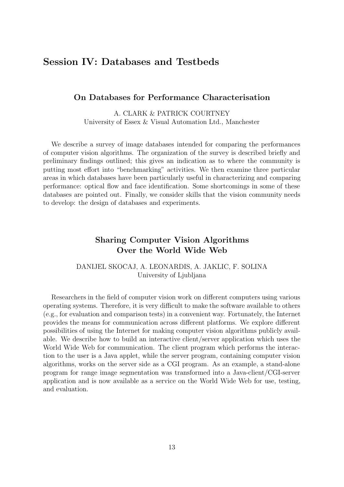## Session IV: Databases and Testbeds

#### On Databases for Performance Characterisation

A. CLARK & PATRICK COURTNEY University of Essex & Visual Automation Ltd., Manchester

We describe a survey of image databases intended for comparing the performances of computer vision algorithms. The organization of the survey is described briefly and preliminary findings outlined; this gives an indication as to where the community is putting most effort into "benchmarking" activities. We then examine three particular areas in which databases have been particularly useful in characterizing and comparing performance: optical flow and face identification. Some shortcomings in some of these databases are pointed out. Finally, we consider skills that the vision community needs to develop: the design of databases and experiments.

### Sharing Computer Vision Algorithms Over the World Wide Web

DANIJEL SKOCAJ, A. LEONARDIS, A. JAKLIC, F. SOLINA University of Ljubljana

Researchers in the field of computer vision work on different computers using various operating systems. Therefore, it is very difficult to make the software available to others (e.g., for evaluation and comparison tests) in a convenient way. Fortunately, the Internet provides the means for communication across different platforms. We explore different possibilities of using the Internet for making computer vision algorithms publicly available. We describe how to build an interactive client/server application which uses the World Wide Web for communication. The client program which performs the interaction to the user is a Java applet, while the server program, containing computer vision algorithms, works on the server side as a CGI program. As an example, a stand-alone program for range image segmentation was transformed into a Java-client/CGI-server application and is now available as a service on the World Wide Web for use, testing, and evaluation.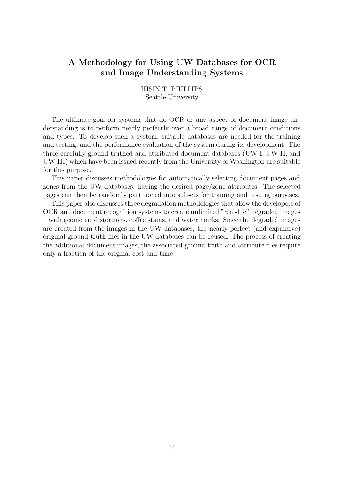## A Methodology for Using UW Databases for OCR and Image Understanding Systems

IHSIN T. PHILLIPS Seattle University

The ultimate goal for systems that do OCR or any aspect of document image understanding is to perform nearly perfectly over a broad range of document conditions and types. To develop such a system, suitable databases are needed for the training and testing, and the performance evaluation of the system during its development. The three carefully ground-truthed and attributed document databases (UW-I, UW-II, and UW-III) which have been issued recently from the University of Washington are suitable for this purpose.

This paper discusses methodologies for automatically selecting document pages and zones from the UW databases, having the desired page/zone attributes. The selected pages can then be randomly partitioned into subsets for training and testing purposes.

This paper also discusses three degradation methodologies that allow the developers of OCR and document recognition systems to create unlimited "real-life" degraded images – with geometric distortions, coffee stains, and water marks. Since the degraded images are created from the images in the UW databases, the nearly perfect (and expansive) original ground truth files in the UW databases can be reused. The process of creating the additional document images, the associated ground truth and attribute files require only a fraction of the original cost and time.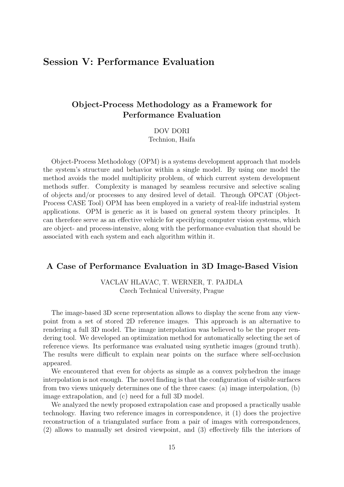## Session V: Performance Evaluation

## Object-Process Methodology as a Framework for Performance Evaluation

DOV DORI

Technion, Haifa

Object-Process Methodology (OPM) is a systems development approach that models the system's structure and behavior within a single model. By using one model the method avoids the model multiplicity problem, of which current system development methods suffer. Complexity is managed by seamless recursive and selective scaling of objects and/or processes to any desired level of detail. Through OPCAT (Object-Process CASE Tool) OPM has been employed in a variety of real-life industrial system applications. OPM is generic as it is based on general system theory principles. It can therefore serve as an effective vehicle for specifying computer vision systems, which are object- and process-intensive, along with the performance evaluation that should be associated with each system and each algorithm within it.

#### A Case of Performance Evaluation in 3D Image-Based Vision

VACLAV HLAVAC, T. WERNER, T. PAJDLA Czech Technical University, Prague

The image-based 3D scene representation allows to display the scene from any viewpoint from a set of stored 2D reference images. This approach is an alternative to rendering a full 3D model. The image interpolation was believed to be the proper rendering tool. We developed an optimization method for automatically selecting the set of reference views. Its performance was evaluated using synthetic images (ground truth). The results were difficult to explain near points on the surface where self-occlusion appeared.

We encountered that even for objects as simple as a convex polyhedron the image interpolation is not enough. The novel finding is that the configuration of visible surfaces from two views uniquely determines one of the three cases: (a) image interpolation, (b) image extrapolation, and (c) need for a full 3D model.

We analyzed the newly proposed extrapolation case and proposed a practically usable technology. Having two reference images in correspondence, it (1) does the projective reconstruction of a triangulated surface from a pair of images with correspondences, (2) allows to manually set desired viewpoint, and (3) effectively fills the interiors of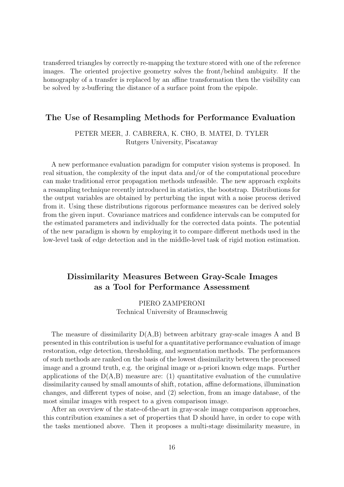transferred triangles by correctly re-mapping the texture stored with one of the reference images. The oriented projective geometry solves the front/behind ambiguity. If the homography of a transfer is replaced by an affine transformation then the visibility can be solved by z-buffering the distance of a surface point from the epipole.

#### The Use of Resampling Methods for Performance Evaluation

#### PETER MEER, J. CABRERA, K. CHO, B. MATEI, D. TYLER Rutgers University, Piscataway

A new performance evaluation paradigm for computer vision systems is proposed. In real situation, the complexity of the input data and/or of the computational procedure can make traditional error propagation methods unfeasible. The new approach exploits a resampling technique recently introduced in statistics, the bootstrap. Distributions for the output variables are obtained by perturbing the input with a noise process derived from it. Using these distributions rigorous performance measures can be derived solely from the given input. Covariance matrices and confidence intervals can be computed for the estimated parameters and individually for the corrected data points. The potential of the new paradigm is shown by employing it to compare different methods used in the low-level task of edge detection and in the middle-level task of rigid motion estimation.

## Dissimilarity Measures Between Gray-Scale Images as a Tool for Performance Assessment

#### PIERO ZAMPERONI Technical University of Braunschweig

The measure of dissimilarity  $D(A,B)$  between arbitrary gray-scale images A and B presented in this contribution is useful for a quantitative performance evaluation of image restoration, edge detection, thresholding, and segmentation methods. The performances of such methods are ranked on the basis of the lowest dissimilarity between the processed image and a ground truth, e.g. the original image or a-priori known edge maps. Further applications of the  $D(A,B)$  measure are: (1) quantitative evaluation of the cumulative dissimilarity caused by small amounts of shift, rotation, affine deformations, illumination changes, and different types of noise, and (2) selection, from an image database, of the most similar images with respect to a given comparison image.

After an overview of the state-of-the-art in gray-scale image comparison approaches, this contribution examines a set of properties that D should have, in order to cope with the tasks mentioned above. Then it proposes a multi-stage dissimilarity measure, in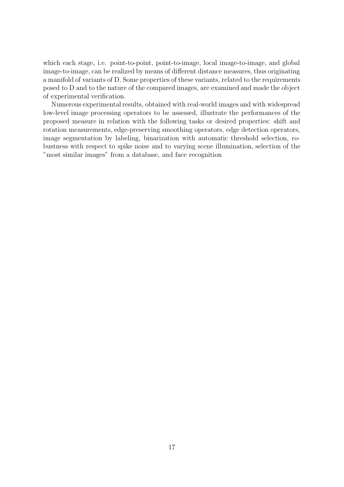which each stage, i.e. point-to-point, point-to-image, local image-to-image, and global image-to-image, can be realized by means of different distance measures, thus originating a manifold of variants of D. Some properties of these variants, related to the requirements posed to D and to the nature of the compared images, are examined and made the object of experimental verification.

Numerous experimental results, obtained with real-world images and with widespread low-level image processing operators to be assessed, illustrate the performances of the proposed measure in relation with the following tasks or desired properties: shift and rotation measurements, edge-preserving smoothing operators, edge detection operators, image segmentation by labeling, binarization with automatic threshold selection, robustness with respect to spike noise and to varying scene illumination, selection of the "most similar images" from a database, and face recognition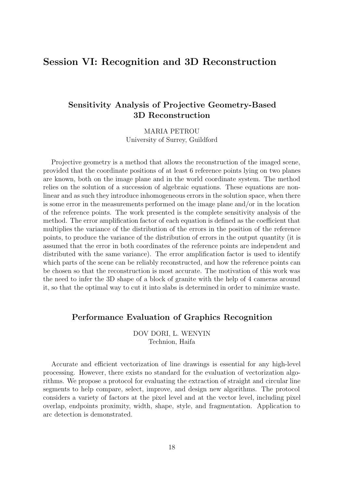## Session VI: Recognition and 3D Reconstruction

## Sensitivity Analysis of Projective Geometry-Based 3D Reconstruction

MARIA PETROU University of Surrey, Guildford

Projective geometry is a method that allows the reconstruction of the imaged scene, provided that the coordinate positions of at least 6 reference points lying on two planes are known, both on the image plane and in the world coordinate system. The method relies on the solution of a succession of algebraic equations. These equations are nonlinear and as such they introduce inhomogeneous errors in the solution space, when there is some error in the measurements performed on the image plane and/or in the location of the reference points. The work presented is the complete sensitivity analysis of the method. The error amplification factor of each equation is defined as the coefficient that multiplies the variance of the distribution of the errors in the position of the reference points, to produce the variance of the distribution of errors in the output quantity (it is assumed that the error in both coordinates of the reference points are independent and distributed with the same variance). The error amplification factor is used to identify which parts of the scene can be reliably reconstructed, and how the reference points can be chosen so that the reconstruction is most accurate. The motivation of this work was the need to infer the 3D shape of a block of granite with the help of 4 cameras around it, so that the optimal way to cut it into slabs is determined in order to minimize waste.

#### Performance Evaluation of Graphics Recognition

DOV DORI, L. WENYIN Technion, Haifa

Accurate and efficient vectorization of line drawings is essential for any high-level processing. However, there exists no standard for the evaluation of vectorization algorithms. We propose a protocol for evaluating the extraction of straight and circular line segments to help compare, select, improve, and design new algorithms. The protocol considers a variety of factors at the pixel level and at the vector level, including pixel overlap, endpoints proximity, width, shape, style, and fragmentation. Application to arc detection is demonstrated.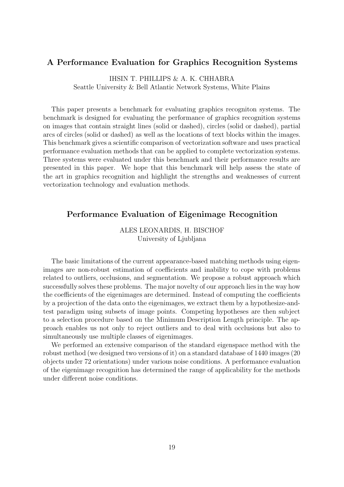#### A Performance Evaluation for Graphics Recognition Systems

IHSIN T. PHILLIPS & A. K. CHHABRA Seattle University & Bell Atlantic Network Systems, White Plains

This paper presents a benchmark for evaluating graphics recogniton systems. The benchmark is designed for evaluating the performance of graphics recognition systems on images that contain straight lines (solid or dashed), circles (solid or dashed), partial arcs of circles (solid or dashed) as well as the locations of text blocks within the images. This benchmark gives a scientific comparison of vectorization software and uses practical performance evaluation methods that can be applied to complete vectorization systems. Three systems were evaluated under this benchmark and their performance results are presented in this paper. We hope that this benchmark will help assess the state of the art in graphics recognition and highlight the strengths and weaknesses of current vectorization technology and evaluation methods.

#### Performance Evaluation of Eigenimage Recognition

ALES LEONARDIS, H. BISCHOF University of Ljubljana

The basic limitations of the current appearance-based matching methods using eigenimages are non-robust estimation of coefficients and inability to cope with problems related to outliers, occlusions, and segmentation. We propose a robust approach which successfully solves these problems. The major novelty of our approach lies in the way how the coefficients of the eigenimages are determined. Instead of computing the coefficients by a projection of the data onto the eigenimages, we extract them by a hypothesize-andtest paradigm using subsets of image points. Competing hypotheses are then subject to a selection procedure based on the Minimum Description Length principle. The approach enables us not only to reject outliers and to deal with occlusions but also to simultaneously use multiple classes of eigenimages.

We performed an extensive comparison of the standard eigenspace method with the robust method (we designed two versions of it) on a standard database of 1440 images (20 objects under 72 orientations) under various noise conditions. A performance evaluation of the eigenimage recognition has determined the range of applicability for the methods under different noise conditions.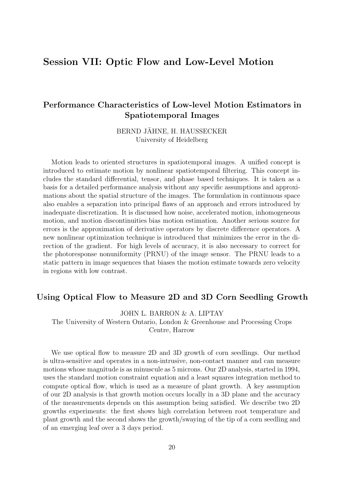## Session VII: Optic Flow and Low-Level Motion

## Performance Characteristics of Low-level Motion Estimators in Spatiotemporal Images

BERND JÄHNE, H. HAUSSECKER University of Heidelberg

Motion leads to oriented structures in spatiotemporal images. A unified concept is introduced to estimate motion by nonlinear spatiotemporal filtering. This concept includes the standard differential, tensor, and phase based techniques. It is taken as a basis for a detailed performance analysis without any specific assumptions and approximations about the spatial structure of the images. The formulation in continuous space also enables a separation into principal flaws of an approach and errors introduced by inadequate discretization. It is discussed how noise, accelerated motion, inhomogeneous motion, and motion discontinuities bias motion estimation. Another serious source for errors is the approximation of derivative operators by discrete difference operators. A new nonlinear optimization technique is introduced that minimizes the error in the direction of the gradient. For high levels of accuracy, it is also necessary to correct for the photoresponse nonuniformity (PRNU) of the image sensor. The PRNU leads to a static pattern in image sequences that biases the motion estimate towards zero velocity in regions with low contrast.

#### Using Optical Flow to Measure 2D and 3D Corn Seedling Growth

JOHN L. BARRON & A. LIPTAY

The University of Western Ontario, London & Greenhouse and Processing Crops Centre, Harrow

We use optical flow to measure 2D and 3D growth of corn seedlings. Our method is ultra-sensitive and operates in a non-intrusive, non-contact manner and can measure motions whose magnitude is as minuscule as 5 microns. Our 2D analysis, started in 1994, uses the standard motion constraint equation and a least squares integration method to compute optical flow, which is used as a measure of plant growth. A key assumption of our 2D analysis is that growth motion occurs locally in a 3D plane and the accuracy of the measurements depends on this assumption being satisfied. We describe two 2D growths experiments: the first shows high correlation between root temperature and plant growth and the second shows the growth/swaying of the tip of a corn seedling and of an emerging leaf over a 3 days period.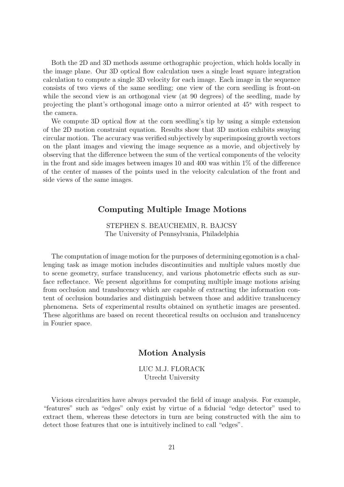Both the 2D and 3D methods assume orthographic projection, which holds locally in the image plane. Our 3D optical flow calculation uses a single least square integration calculation to compute a single 3D velocity for each image. Each image in the sequence consists of two views of the same seedling; one view of the corn seedling is front-on while the second view is an orthogonal view (at 90 degrees) of the seedling, made by projecting the plant's orthogonal image onto a mirror oriented at 45◦ with respect to the camera.

We compute 3D optical flow at the corn seedling's tip by using a simple extension of the 2D motion constraint equation. Results show that 3D motion exhibits swaying circular motion. The accuracy was verified subjectively by superimposing growth vectors on the plant images and viewing the image sequence as a movie, and objectively by observing that the difference between the sum of the vertical components of the velocity in the front and side images between images 10 and 400 was within  $1\%$  of the difference of the center of masses of the points used in the velocity calculation of the front and side views of the same images.

#### Computing Multiple Image Motions

STEPHEN S. BEAUCHEMIN, R. BAJCSY The University of Pennsylvania, Philadelphia

The computation of image motion for the purposes of determining egomotion is a challenging task as image motion includes discontinuities and multiple values mostly due to scene geometry, surface translucency, and various photometric effects such as surface reflectance. We present algorithms for computing multiple image motions arising from occlusion and translucency which are capable of extracting the information content of occlusion boundaries and distinguish between those and additive translucency phenomena. Sets of experimental results obtained on synthetic images are presented. These algorithms are based on recent theoretical results on occlusion and translucency in Fourier space.

#### Motion Analysis

LUC M.J. FLORACK Utrecht University

Vicious circularities have always pervaded the field of image analysis. For example, "features" such as "edges" only exist by virtue of a fiducial "edge detector" used to extract them, whereas these detectors in turn are being constructed with the aim to detect those features that one is intuitively inclined to call "edges".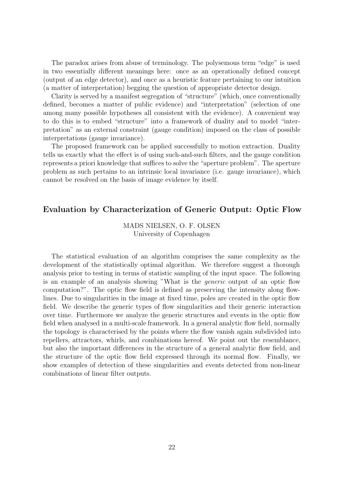The paradox arises from abuse of terminology. The polysemous term "edge" is used in two essentially different meanings here: once as an operationally defined concept (output of an edge detector), and once as a heuristic feature pertaining to our intuition (a matter of interpretation) begging the question of appropriate detector design.

Clarity is served by a manifest segregation of "structure" (which, once conventionally defined, becomes a matter of public evidence) and "interpretation" (selection of one among many possible hypotheses all consistent with the evidence). A convenient way to do this is to embed "structure" into a framework of duality and to model "interpretation" as an external constraint (gauge condition) imposed on the class of possible interpretations (gauge invariance).

The proposed framework can be applied successfully to motion extraction. Duality tells us exactly what the effect is of using such-and-such filters, and the gauge condition represents a priori knowledge that suffices to solve the "aperture problem". The aperture problem as such pertains to an intrinsic local invariance (i.e. gauge invariance), which cannot be resolved on the basis of image evidence by itself.

#### Evaluation by Characterization of Generic Output: Optic Flow

#### MADS NIELSEN, O. F. OLSEN University of Copenhagen

The statistical evaluation of an algorithm comprises the same complexity as the development of the statistically optimal algorithm. We therefore suggest a thorough analysis prior to testing in terms of statistic sampling of the input space. The following is an example of an analysis showing "What is the generic output of an optic flow computation?". The optic flow field is defined as preserving the intensity along flowlines. Due to singularities in the image at fixed time, poles are created in the optic flow field. We describe the generic types of flow singularities and their generic interaction over time. Furthermore we analyze the generic structures and events in the optic flow field when analysed in a multi-scale framework. In a general analytic flow field, normally the topology is characterised by the points where the flow vanish again subdivided into repellers, attractors, whirls, and combinations hereof. We point out the resemblance, but also the important differences in the structure of a general analytic flow field, and the structure of the optic flow field expressed through its normal flow. Finally, we show examples of detection of these singularities and events detected from non-linear combinations of linear filter outputs.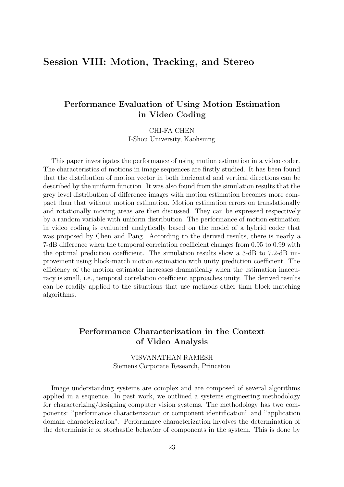## Session VIII: Motion, Tracking, and Stereo

## Performance Evaluation of Using Motion Estimation in Video Coding

CHI-FA CHEN I-Shou University, Kaohsiung

This paper investigates the performance of using motion estimation in a video coder. The characteristics of motions in image sequences are firstly studied. It has been found that the distribution of motion vector in both horizontal and vertical directions can be described by the uniform function. It was also found from the simulation results that the grey level distribution of difference images with motion estimation becomes more compact than that without motion estimation. Motion estimation errors on translationally and rotationally moving areas are then discussed. They can be expressed respectively by a random variable with uniform distribution. The performance of motion estimation in video coding is evaluated analytically based on the model of a hybrid coder that was proposed by Chen and Pang. According to the derived results, there is nearly a 7-dB difference when the temporal correlation coefficient changes from 0.95 to 0.99 with the optimal prediction coefficient. The simulation results show a 3-dB to 7.2-dB improvement using block-match motion estimation with unity prediction coefficient. The efficiency of the motion estimator increases dramatically when the estimation inaccuracy is small, i.e., temporal correlation coefficient approaches unity. The derived results can be readily applied to the situations that use methods other than block matching algorithms.

### Performance Characterization in the Context of Video Analysis

VISVANATHAN RAMESH Siemens Corporate Research, Princeton

Image understanding systems are complex and are composed of several algorithms applied in a sequence. In past work, we outlined a systems engineering methodology for characterizing/designing computer vision systems. The methodology has two components: "performance characterization or component identification" and "application domain characterization". Performance characterization involves the determination of the deterministic or stochastic behavior of components in the system. This is done by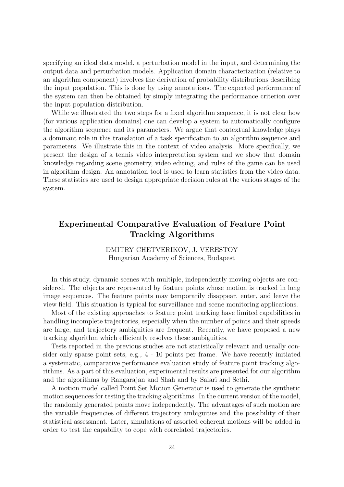specifying an ideal data model, a perturbation model in the input, and determining the output data and perturbation models. Application domain characterization (relative to an algorithm component) involves the derivation of probability distributions describing the input population. This is done by using annotations. The expected performance of the system can then be obtained by simply integrating the performance criterion over the input population distribution.

While we illustrated the two steps for a fixed algorithm sequence, it is not clear how (for various application domains) one can develop a system to automatically configure the algorithm sequence and its parameters. We argue that contextual knowledge plays a dominant role in this translation of a task specification to an algorithm sequence and parameters. We illustrate this in the context of video analysis. More specifically, we present the design of a tennis video interpretation system and we show that domain knowledge regarding scene geometry, video editing, and rules of the game can be used in algorithm design. An annotation tool is used to learn statistics from the video data. These statistics are used to design appropriate decision rules at the various stages of the system.

## Experimental Comparative Evaluation of Feature Point Tracking Algorithms

#### DMITRY CHETVERIKOV, J. VERESTOY Hungarian Academy of Sciences, Budapest

In this study, dynamic scenes with multiple, independently moving objects are considered. The objects are represented by feature points whose motion is tracked in long image sequences. The feature points may temporarily disappear, enter, and leave the view field. This situation is typical for surveillance and scene monitoring applications.

Most of the existing approaches to feature point tracking have limited capabilities in handling incomplete trajectories, especially when the number of points and their speeds are large, and trajectory ambiguities are frequent. Recently, we have proposed a new tracking algorithm which efficiently resolves these ambiguities.

Tests reported in the previous studies are not statistically relevant and usually consider only sparse point sets, e.g., 4 - 10 points per frame. We have recently initiated a systematic, comparative performance evaluation study of feature point tracking algorithms. As a part of this evaluation, experimental results are presented for our algorithm and the algorithms by Rangarajan and Shah and by Salari and Sethi.

A motion model called Point Set Motion Generator is used to generate the synthetic motion sequences for testing the tracking algorithms. In the current version of the model, the randomly generated points move independently. The advantages of such motion are the variable frequencies of different trajectory ambiguities and the possibility of their statistical assessment. Later, simulations of assorted coherent motions will be added in order to test the capability to cope with correlated trajectories.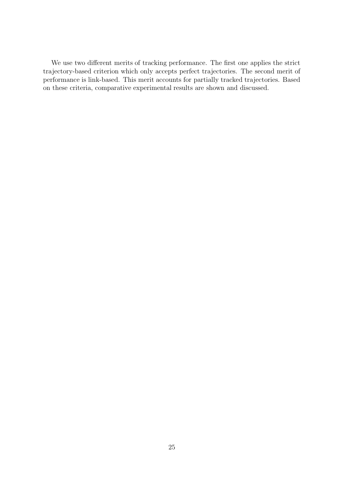We use two different merits of tracking performance. The first one applies the strict trajectory-based criterion which only accepts perfect trajectories. The second merit of performance is link-based. This merit accounts for partially tracked trajectories. Based on these criteria, comparative experimental results are shown and discussed.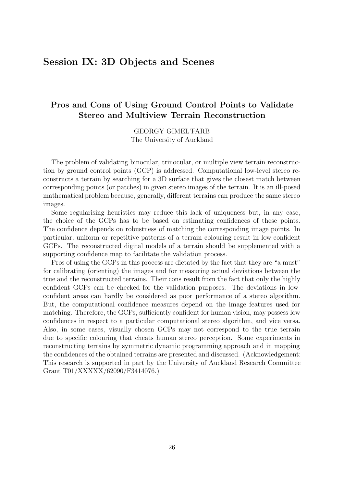## Session IX: 3D Objects and Scenes

## Pros and Cons of Using Ground Control Points to Validate Stereo and Multiview Terrain Reconstruction

GEORGY GIMEL'FARB The University of Auckland

The problem of validating binocular, trinocular, or multiple view terrain reconstruction by ground control points (GCP) is addressed. Computational low-level stereo reconstructs a terrain by searching for a 3D surface that gives the closest match between corresponding points (or patches) in given stereo images of the terrain. It is an ill-posed mathematical problem because, generally, different terrains can produce the same stereo images.

Some regularising heuristics may reduce this lack of uniqueness but, in any case, the choice of the GCPs has to be based on estimating confidences of these points. The confidence depends on robustness of matching the corresponding image points. In particular, uniform or repetitive patterns of a terrain colouring result in low-confident GCPs. The reconstructed digital models of a terrain should be supplemented with a supporting confidence map to facilitate the validation process.

Pros of using the GCPs in this process are dictated by the fact that they are "a must" for calibrating (orienting) the images and for measuring actual deviations between the true and the reconstructed terrains. Their cons result from the fact that only the highly confident GCPs can be checked for the validation purposes. The deviations in lowconfident areas can hardly be considered as poor performance of a stereo algorithm. But, the computational confidence measures depend on the image features used for matching. Therefore, the GCPs, sufficiently confident for human vision, may possess low confidences in respect to a particular computational stereo algorithm, and vice versa. Also, in some cases, visually chosen GCPs may not correspond to the true terrain due to specific colouring that cheats human stereo perception. Some experiments in reconstructing terrains by symmetric dynamic programming approach and in mapping the confidences of the obtained terrains are presented and discussed. (Acknowledgement: This research is supported in part by the University of Auckland Research Committee Grant T01/XXXXX/62090/F3414076.)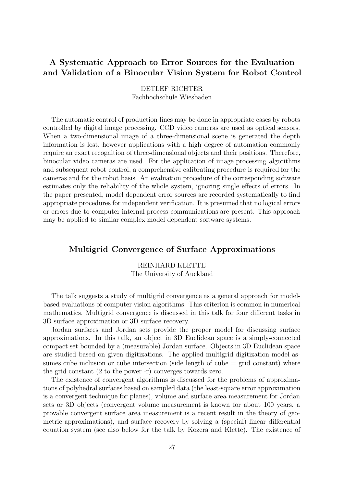## A Systematic Approach to Error Sources for the Evaluation and Validation of a Binocular Vision System for Robot Control

DETLEF RICHTER Fachhochschule Wiesbaden

The automatic control of production lines may be done in appropriate cases by robots controlled by digital image processing. CCD video cameras are used as optical sensors. When a two-dimensional image of a three-dimensional scene is generated the depth information is lost, however applications with a high degree of automation commonly require an exact recognition of three-dimensional objects and their positions. Therefore, binocular video cameras are used. For the application of image processing algorithms and subsequent robot control, a comprehensive calibrating procedure is required for the cameras and for the robot basis. An evaluation procedure of the corresponding software estimates only the reliability of the whole system, ignoring single effects of errors. In the paper presented, model dependent error sources are recorded systematically to find appropriate procedures for independent verification. It is presumed that no logical errors or errors due to computer internal process communications are present. This approach may be applied to similar complex model dependent software systems.

#### Multigrid Convergence of Surface Approximations

REINHARD KLETTE The University of Auckland

The talk suggests a study of multigrid convergence as a general approach for modelbased evaluations of computer vision algorithms. This criterion is common in numerical mathematics. Multigrid convergence is discussed in this talk for four different tasks in 3D surface approximation or 3D surface recovery.

Jordan surfaces and Jordan sets provide the proper model for discussing surface approximations. In this talk, an object in 3D Euclidean space is a simply-connected compact set bounded by a (measurable) Jordan surface. Objects in 3D Euclidean space are studied based on given digitizations. The applied multigrid digitization model assumes cube inclusion or cube intersection (side length of cube  $=$  grid constant) where the grid constant (2 to the power -r) converges towards zero.

The existence of convergent algorithms is discussed for the problems of approximations of polyhedral surfaces based on sampled data (the least-square error approximation is a convergent technique for planes), volume and surface area measurement for Jordan sets or 3D objects (convergent volume measurement is known for about 100 years, a provable convergent surface area measurement is a recent result in the theory of geometric approximations), and surface recovery by solving a (special) linear differential equation system (see also below for the talk by Kozera and Klette). The existence of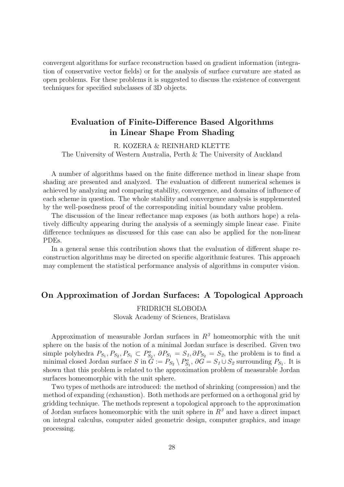convergent algorithms for surface reconstruction based on gradient information (integration of conservative vector fields) or for the analysis of surface curvature are stated as open problems. For these problems it is suggested to discuss the existence of convergent techniques for specified subclasses of 3D objects.

## Evaluation of Finite-Difference Based Algorithms in Linear Shape From Shading

R. KOZERA & REINHARD KLETTE The University of Western Australia, Perth & The University of Auckland

A number of algorithms based on the finite difference method in linear shape from shading are presented and analyzed. The evaluation of different numerical schemes is achieved by analyzing and comparing stability, convergence, and domains of influence of each scheme in question. The whole stability and convergence analysis is supplemented by the well-posedness proof of the corresponding initial boundary value problem.

The discussion of the linear reflectance map exposes (as both authors hope) a relatively difficulty appearing during the analysis of a seemingly simple linear case. Finite difference techniques as discussed for this case can also be applied for the non-linear PDEs.

In a general sense this contribution shows that the evaluation of different shape reconstruction algorithms may be directed on specific algorithmic features. This approach may complement the statistical performance analysis of algorithms in computer vision.

#### On Approximation of Jordan Surfaces: A Topological Approach

FRIDRICH SLOBODA Slovak Academy of Sciences, Bratislava

Approximation of measurable Jordan surfaces in  $R<sup>3</sup>$  homeomorphic with the unit sphere on the basis of the notion of a minimal Jordan surface is described. Given two simple polyhedra  $P_{S_1}, P_{S_2}, P_{S_1} \subset P_{S_2}^o, \ \partial P_{S_1} = S_1, \partial P_{S_2} = S_2$ , the problem is to find a minimal closed Jordan surface  $S$  in  $\tilde{G} := P_{S_2} \setminus P_{S_1}^o$ ,  $\partial G = S_1 \cup S_2$  surrounding  $P_{S_1}$ . It is shown that this problem is related to the approximation problem of measurable Jordan surfaces homeomorphic with the unit sphere.

Two types of methods are introduced: the method of shrinking (compression) and the method of expanding (exhaustion). Both methods are performed on a orthogonal grid by gridding technique. The methods represent a topological approach to the approximation of Jordan surfaces homeomorphic with the unit sphere in  $R<sup>3</sup>$  and have a direct impact on integral calculus, computer aided geometric design, computer graphics, and image processing.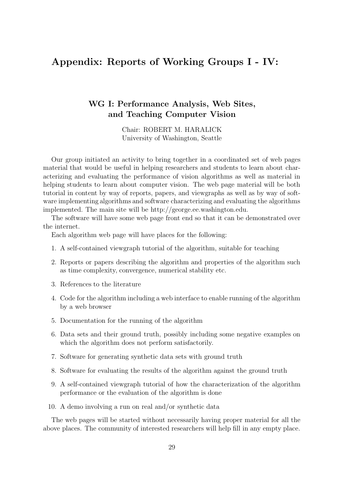## Appendix: Reports of Working Groups I - IV:

### WG I: Performance Analysis, Web Sites, and Teaching Computer Vision

Chair: ROBERT M. HARALICK University of Washington, Seattle

Our group initiated an activity to bring together in a coordinated set of web pages material that would be useful in helping researchers and students to learn about characterizing and evaluating the performance of vision algorithms as well as material in helping students to learn about computer vision. The web page material will be both tutorial in content by way of reports, papers, and viewgraphs as well as by way of software implementing algorithms and software characterizing and evaluating the algorithms implemented. The main site will be http://george.ee.washington.edu.

The software will have some web page front end so that it can be demonstrated over the internet.

Each algorithm web page will have places for the following:

- 1. A self-contained viewgraph tutorial of the algorithm, suitable for teaching
- 2. Reports or papers describing the algorithm and properties of the algorithm such as time complexity, convergence, numerical stability etc.
- 3. References to the literature
- 4. Code for the algorithm including a web interface to enable running of the algorithm by a web browser
- 5. Documentation for the running of the algorithm
- 6. Data sets and their ground truth, possibly including some negative examples on which the algorithm does not perform satisfactorily.
- 7. Software for generating synthetic data sets with ground truth
- 8. Software for evaluating the results of the algorithm against the ground truth
- 9. A self-contained viewgraph tutorial of how the characterization of the algorithm performance or the evaluation of the algorithm is done
- 10. A demo involving a run on real and/or synthetic data

The web pages will be started without necessarily having proper material for all the above places. The community of interested researchers will help fill in any empty place.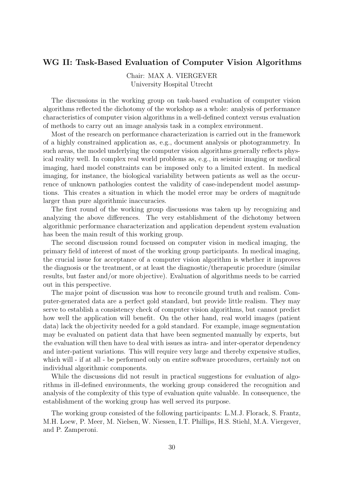#### WG II: Task-Based Evaluation of Computer Vision Algorithms

Chair: MAX A. VIERGEVER University Hospital Utrecht

The discussions in the working group on task-based evaluation of computer vision algorithms reflected the dichotomy of the workshop as a whole: analysis of performance characteristics of computer vision algorithms in a well-defined context versus evaluation of methods to carry out an image analysis task in a complex environment.

Most of the research on performance characterization is carried out in the framework of a highly constrained application as, e.g., document analysis or photogrammetry. In such areas, the model underlying the computer vision algorithms generally reflects physical reality well. In complex real world problems as, e.g., in seismic imaging or medical imaging, hard model constraints can be imposed only to a limited extent. In medical imaging, for instance, the biological variability between patients as well as the occurrence of unknown pathologies contest the validity of case-independent model assumptions. This creates a situation in which the model error may be orders of magnitude larger than pure algorithmic inaccuracies.

The first round of the working group discussions was taken up by recognizing and analyzing the above differences. The very establishment of the dichotomy between algorithmic performance characterization and application dependent system evaluation has been the main result of this working group.

The second discussion round focussed on computer vision in medical imaging, the primary field of interest of most of the working group participants. In medical imaging, the crucial issue for acceptance of a computer vision algorithm is whether it improves the diagnosis or the treatment, or at least the diagnostic/therapeutic procedure (similar results, but faster and/or more objective). Evaluation of algorithms needs to be carried out in this perspective.

The major point of discussion was how to reconcile ground truth and realism. Computer-generated data are a perfect gold standard, but provide little realism. They may serve to establish a consistency check of computer vision algorithms, but cannot predict how well the application will benefit. On the other hand, real world images (patient data) lack the objectivity needed for a gold standard. For example, image segmentation may be evaluated on patient data that have been segmented manually by experts, but the evaluation will then have to deal with issues as intra- and inter-operator dependency and inter-patient variations. This will require very large and thereby expensive studies, which will - if at all - be performed only on entire software procedures, certainly not on individual algorithmic components.

While the discussions did not result in practical suggestions for evaluation of algorithms in ill-defined environments, the working group considered the recognition and analysis of the complexity of this type of evaluation quite valuable. In consequence, the establishment of the working group has well served its purpose.

The working group consisted of the following participants: L.M.J. Florack, S. Frantz, M.H. Loew, P. Meer, M. Nielsen, W. Niessen, I.T. Phillips, H.S. Stiehl, M.A. Viergever, and P. Zamperoni.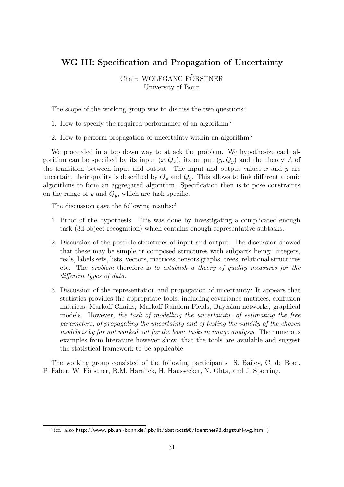### WG III: Specification and Propagation of Uncertainty

Chair: WOLFGANG FÖRSTNER University of Bonn

The scope of the working group was to discuss the two questions:

- 1. How to specify the required performance of an algorithm?
- 2. How to perform propagation of uncertainty within an algorithm?

We proceeded in a top down way to attack the problem. We hypothesize each algorithm can be specified by its input  $(x, Q_x)$ , its output  $(y, Q_y)$  and the theory A of the transition between input and output. The input and output values  $x$  and  $y$  are uncertain, their quality is described by  $Q_x$  and  $Q_y$ . This allows to link different atomic algorithms to form an aggregated algorithm. Specification then is to pose constraints on the range of  $y$  and  $Q_y$ , which are task specific.

The discussion gave the following results:<sup>1</sup>

- 1. Proof of the hypothesis: This was done by investigating a complicated enough task (3d-object recognition) which contains enough representative subtasks.
- 2. Discussion of the possible structures of input and output: The discussion showed that these may be simple or composed structures with subparts being: integers, reals, labels sets, lists, vectors, matrices, tensors graphs, trees, relational structures etc. The problem therefore is to establish a theory of quality measures for the different types of data.
- 3. Discussion of the representation and propagation of uncertainty: It appears that statistics provides the appropriate tools, including covariance matrices, confusion matrices, Markoff-Chains, Markoff-Random-Fields, Bayesian networks, graphical models. However, the task of modelling the uncertainty, of estimating the free parameters, of propagating the uncertainty and of testing the validity of the chosen models is by far not worked out for the basic tasks in image analysis. The numerous examples from literature however show, that the tools are available and suggest the statistical framework to be applicable.

The working group consisted of the following participants: S. Bailey, C. de Boer, P. Faber, W. Förstner, R.M. Haralick, H. Haussecker, N. Ohta, and J. Sporring.

 $^{1}$ (cf. also http://www.ipb.uni-bonn.de/ipb/lit/abstracts98/foerstner98.dagstuhl-wg.html)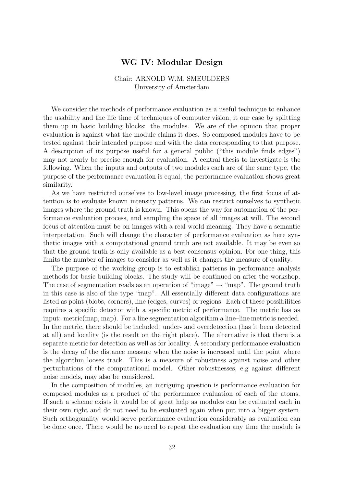#### WG IV: Modular Design

#### Chair: ARNOLD W.M. SMEULDERS University of Amsterdam

We consider the methods of performance evaluation as a useful technique to enhance the usability and the life time of techniques of computer vision, it our case by splitting them up in basic building blocks: the modules. We are of the opinion that proper evaluation is against what the module claims it does. So composed modules have to be tested against their intended purpose and with the data corresponding to that purpose. A description of its purpose useful for a general public ("this module finds edges") may not nearly be precise enough for evaluation. A central thesis to investigate is the following. When the inputs and outputs of two modules each are of the same type, the purpose of the performance evaluation is equal, the performance evaluation shows great similarity.

As we have restricted ourselves to low-level image processing, the first focus of attention is to evaluate known intensity patterns. We can restrict ourselves to synthetic images where the ground truth is known. This opens the way for automation of the performance evaluation process, and sampling the space of all images at will. The second focus of attention must be on images with a real world meaning. They have a semantic interpretation. Such will change the character of performance evaluation as here synthetic images with a computational ground truth are not available. It may be even so that the ground truth is only available as a best-consensus opinion. For one thing, this limits the number of images to consider as well as it changes the measure of quality.

The purpose of the working group is to establish patterns in performance analysis methods for basic building blocks. The study will be continued on after the workshop. The case of segmentation reads as an operation of "image"  $\rightarrow$  "map". The ground truth in this case is also of the type "map". All essentially different data configurations are listed as point (blobs, corners), line (edges, curves) or regions. Each of these possibilities requires a specific detector with a specific metric of performance. The metric has as input: metric(map, map). For a line segmentation algorithm a line–line metric is needed. In the metric, there should be included: under- and overdetection (has it been detected at all) and locality (is the result on the right place). The alternative is that there is a separate metric for detection as well as for locality. A secondary performance evaluation is the decay of the distance measure when the noise is increased until the point where the algorithm looses track. This is a measure of robustness against noise and other perturbations of the computational model. Other robustnesses, e.g against different noise models, may also be considered.

In the composition of modules, an intriguing question is performance evaluation for composed modules as a product of the performance evaluation of each of the atoms. If such a scheme exists it would be of great help as modules can be evaluated each in their own right and do not need to be evaluated again when put into a bigger system. Such orthogonality would serve performance evaluation considerably as evaluation can be done once. There would be no need to repeat the evaluation any time the module is